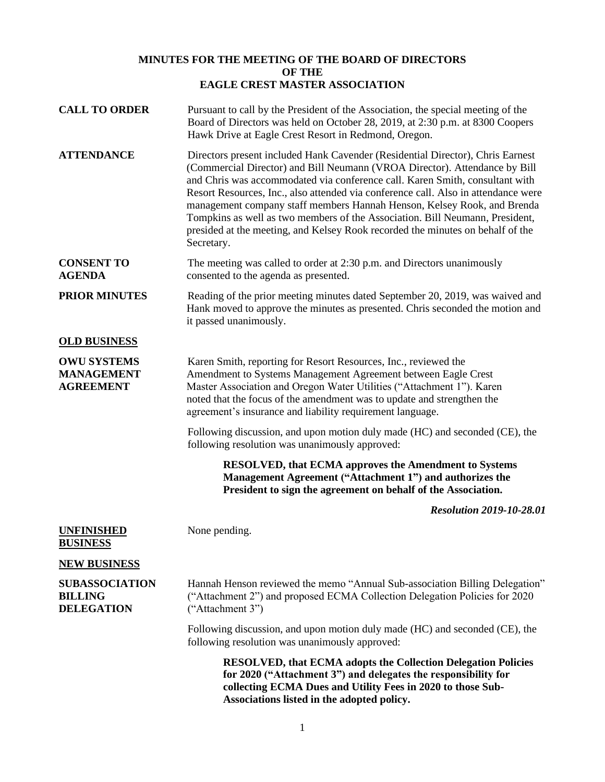## **MINUTES FOR THE MEETING OF THE BOARD OF DIRECTORS OF THE EAGLE CREST MASTER ASSOCIATION**

| <b>CALL TO ORDER</b>                                         | Pursuant to call by the President of the Association, the special meeting of the<br>Board of Directors was held on October 28, 2019, at 2:30 p.m. at 8300 Coopers<br>Hawk Drive at Eagle Crest Resort in Redmond, Oregon.                                                                                                                                                                                                                                                                                                                                                                     |
|--------------------------------------------------------------|-----------------------------------------------------------------------------------------------------------------------------------------------------------------------------------------------------------------------------------------------------------------------------------------------------------------------------------------------------------------------------------------------------------------------------------------------------------------------------------------------------------------------------------------------------------------------------------------------|
| <b>ATTENDANCE</b>                                            | Directors present included Hank Cavender (Residential Director), Chris Earnest<br>(Commercial Director) and Bill Neumann (VROA Director). Attendance by Bill<br>and Chris was accommodated via conference call. Karen Smith, consultant with<br>Resort Resources, Inc., also attended via conference call. Also in attendance were<br>management company staff members Hannah Henson, Kelsey Rook, and Brenda<br>Tompkins as well as two members of the Association. Bill Neumann, President,<br>presided at the meeting, and Kelsey Rook recorded the minutes on behalf of the<br>Secretary. |
| <b>CONSENT TO</b><br><b>AGENDA</b>                           | The meeting was called to order at 2:30 p.m. and Directors unanimously<br>consented to the agenda as presented.                                                                                                                                                                                                                                                                                                                                                                                                                                                                               |
| <b>PRIOR MINUTES</b>                                         | Reading of the prior meeting minutes dated September 20, 2019, was waived and<br>Hank moved to approve the minutes as presented. Chris seconded the motion and<br>it passed unanimously.                                                                                                                                                                                                                                                                                                                                                                                                      |
| <b>OLD BUSINESS</b>                                          |                                                                                                                                                                                                                                                                                                                                                                                                                                                                                                                                                                                               |
| <b>OWU SYSTEMS</b><br><b>MANAGEMENT</b><br><b>AGREEMENT</b>  | Karen Smith, reporting for Resort Resources, Inc., reviewed the<br>Amendment to Systems Management Agreement between Eagle Crest<br>Master Association and Oregon Water Utilities ("Attachment 1"). Karen<br>noted that the focus of the amendment was to update and strengthen the<br>agreement's insurance and liability requirement language.                                                                                                                                                                                                                                              |
|                                                              | Following discussion, and upon motion duly made (HC) and seconded (CE), the<br>following resolution was unanimously approved:                                                                                                                                                                                                                                                                                                                                                                                                                                                                 |
|                                                              | <b>RESOLVED, that ECMA approves the Amendment to Systems</b><br>Management Agreement ("Attachment 1") and authorizes the<br>President to sign the agreement on behalf of the Association.                                                                                                                                                                                                                                                                                                                                                                                                     |
|                                                              | <b>Resolution 2019-10-28.01</b>                                                                                                                                                                                                                                                                                                                                                                                                                                                                                                                                                               |
| <b>UNFINISHED</b><br><b>BUSINESS</b>                         | None pending.                                                                                                                                                                                                                                                                                                                                                                                                                                                                                                                                                                                 |
| <b>NEW BUSINESS</b>                                          |                                                                                                                                                                                                                                                                                                                                                                                                                                                                                                                                                                                               |
| <b>SUBASSOCIATION</b><br><b>BILLING</b><br><b>DELEGATION</b> | Hannah Henson reviewed the memo "Annual Sub-association Billing Delegation"<br>("Attachment 2") and proposed ECMA Collection Delegation Policies for 2020<br>("Attachment 3")                                                                                                                                                                                                                                                                                                                                                                                                                 |
|                                                              | Following discussion, and upon motion duly made (HC) and seconded (CE), the<br>following resolution was unanimously approved:                                                                                                                                                                                                                                                                                                                                                                                                                                                                 |
|                                                              | RESOLVED, that ECMA adopts the Collection Delegation Policies<br>for 2020 ("Attachment 3") and delegates the responsibility for<br>collecting ECMA Dues and Utility Fees in 2020 to those Sub-<br>Associations listed in the adopted policy.                                                                                                                                                                                                                                                                                                                                                  |